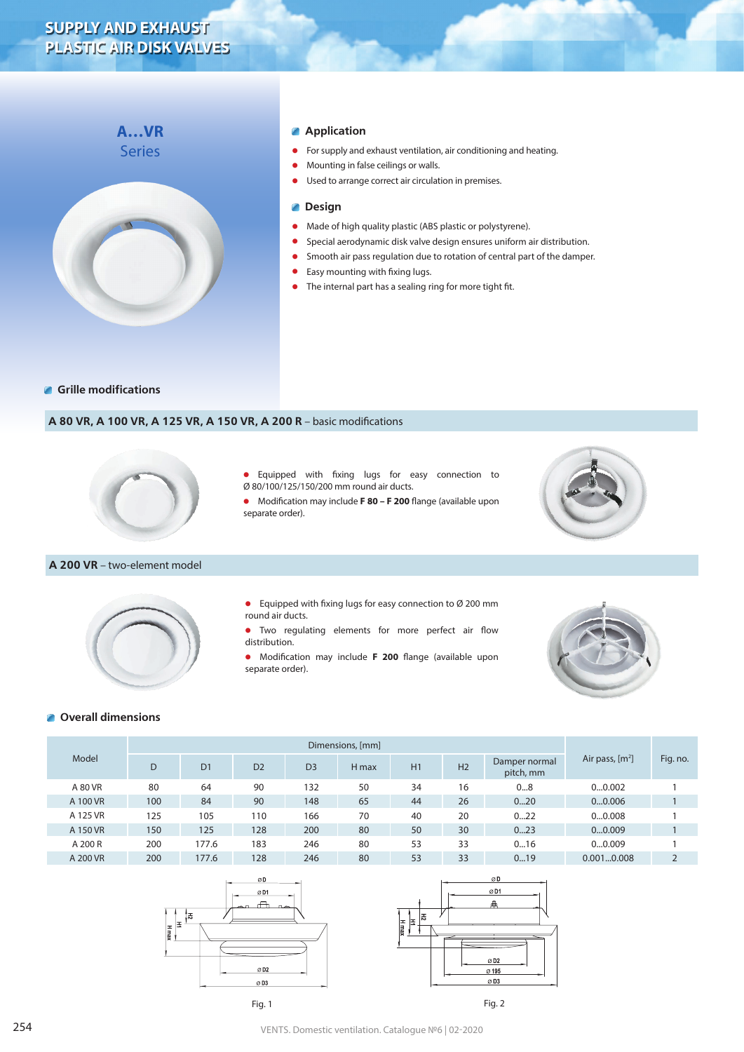# **SUPPLY AND EXHAUST PLASTIC AIR DISK VALVES**



# **Application**

- **•** For supply and exhaust ventilation, air conditioning and heating.<br> **•** Mounting in false ceilings or walls
- **•** Mounting in false ceilings or walls.
- **•** Used to arrange correct air circulation in premises.

#### **Design**  $\blacksquare$

- **•** Made of high quality plastic (ABS plastic or polystyrene).<br>• Special aerodynamic disk valve design ensures uniform a
- **•** Special aerodynamic disk valve design ensures uniform air distribution.<br>• Smooth air pass requlation due to rotation of central part of the dampe
- **•** Smooth air pass regulation due to rotation of central part of the damper.
- **•** Easy mounting with fixing lugs.
- **•** The internal part has a sealing ring for more tight fit.

#### **Grille modifications**

### **A 80 VR, A 100 VR, A 125 VR, A 150 VR, A 200 R** – basic modifications



#### **A 200 VR** – two-element model

**•** Equipped with fixing lugs for easy connection to Ø 200 mm round air ducts. **•** Two regulating elements for more perfect air flow

separate order).

distribution.

**•** Equipped with fixing lugs for easy connection to

**•** Modification may include **F 80 – F 200** flange (available upon

Ø 80/100/125/150/200 mm round air ducts.

**•** Modification may include **F 200** flange (available upon separate order).





# **Overall dimensions**

| Model    | Dimensions, [mm] |                |                |                |       |    |                |                            |                   |          |
|----------|------------------|----------------|----------------|----------------|-------|----|----------------|----------------------------|-------------------|----------|
|          | D                | D <sub>1</sub> | D <sub>2</sub> | D <sub>3</sub> | H max | H1 | H <sub>2</sub> | Damper normal<br>pitch, mm | Air pass, $[m^2]$ | Fig. no. |
| A 80 VR  | 80               | 64             | 90             | 132            | 50    | 34 | 16             | 08                         | 00.002            |          |
| A 100 VR | 100              | 84             | 90             | 148            | 65    | 44 | 26             | 020                        | 00.006            |          |
| A 125 VR | 125              | 105            | 110            | 166            | 70    | 40 | 20             | 022                        | 00.008            |          |
| A 150 VR | 150              | 125            | 128            | 200            | 80    | 50 | 30             | 023                        | 00.009            |          |
| A 200 R  | 200              | 177.6          | 183            | 246            | 80    | 53 | 33             | 016                        | 00.009            |          |
| A 200 VR | 200              | 177.6          | 128            | 246            | 80    | 53 | 33             | 019                        | 0.0010.008        | ∠        |